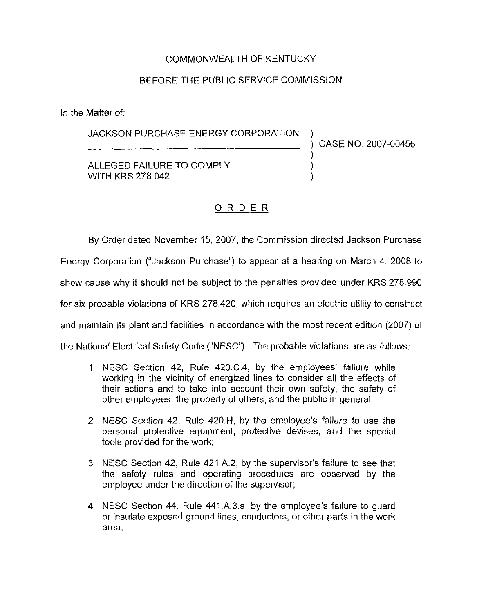## COMMONWEALTH OF KENTUCKY

#### BEFORE THE PUBLIC SERViCE COMMISSION

In the Matter of:

#### JACKSON PURCHASE ENERGY CORPORATION

) CASE NO 2007-00456

)

ALLEGED FAILURE TO COMPLY WITH KRS 278,042

## ORDER

By Order dated November 15, 2007, the Commission directed Jackson Purchase Energy Corporation ("Jackson Purchase") to appear at a hearing on March 4, 2008 to show cause why it should not be subject to the penalties provided under KRS 278.990 for six probable violations of KRS 278.420, which requires an electric utility to construct and maintain its plant and facilities in accordance with the most recent edition (2007) of the National Electrical Safety Code ("MESC"). The probable violations are as follows:

- 1. NESC Section 42, Rule  $420.C.4$ , by the employees' failure while working in the vicinity of energized lines to consider all the effects of their actions and to take into account their own safety, the safety of other employees, the property of others, and the public in general;
- 2. NESC Section 42, Rule 420.H, by the employee's failure to use the personal protective equipment, protective devises, and the special tools provided for the work;
- 3. NESC Section 42, Rule 421 A 2, by the supervisor's failure to see that the safety rules and operating procedures are observed by the employee under the direction of the supervisor;
- 4. NESC Section 44, Rule 441.A.3.a, by the employee's failure to guard or insulate exposed ground lines, conductors, or other parts in the work area;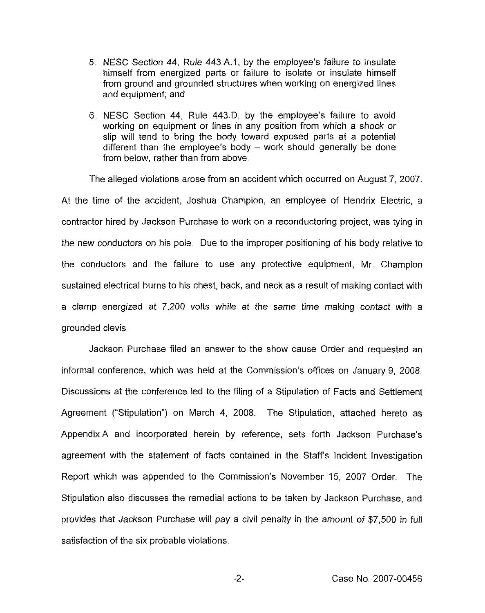- 5. NESC Section 44, Rule 443 A.1, by the employee's failure to insulate himself from energized parts or failure to isolate or insulate himself from ground and grounded structures when working on energized lines and equipment; and
- 6 NESC Section 44, Rule 443,D, by the employee's failure to avoid working on equipment or lines in any position from which a shock or slip will tend to bring the body toward exposed parts at a potential different than the employee's body —work should generally be done from below, rather than from above.

The alleged violations arose from an accident which occurred on August 7, 2007.

At the time of the accident, Joshua Champion, an employee of Hendrix Electric, a contractor hired by Jackson Purchase to work on a reconductoring project, was tying in the new conductors on his pole, Due to the improper positioning of his body relative to the conductors and the failure to use any protective equipment, Mr. Champion sustained electrical burns to his chest, back, and neck as a result of making contact with a clamp energized at 7,200 volts while at the same time making contact with a grounded clevis.

Jackson Purchase filed an answer to the show cause Order and requested an informal conference, which was held at the Commission's offices on January 9, 2008 Discussions at the conference led to the filing of a Stipulation of Facts and Settlement Agreement ("Stipulation") on March 4, 2008. The Stipulation, attached hereto as Appendix A and incorporated herein by reference, sets forth Jackson Purchase's agreement with the statement of facts contained in the Staffs Incident Investigation Report which was appended to the Commission's November 15, 2007 Order. The Stipulation also discusses the remedial actions to be taken by Jackson Purchase, and provides that Jackson Purchase will pay a civil penalty in the amount of \$7,500 in full satisfaction of the six probable violations

 $-2-$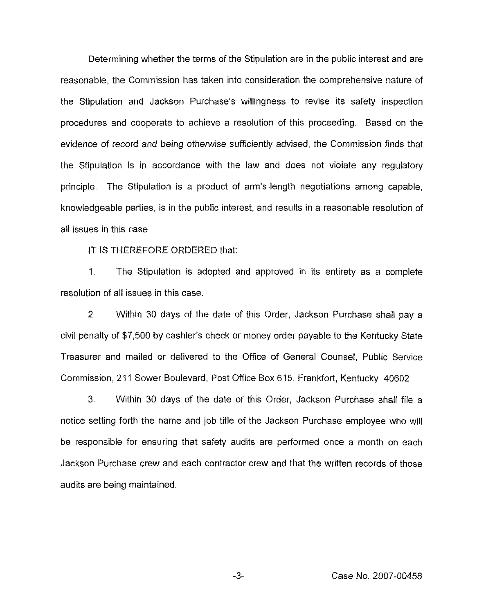Determining whether the terms of the Stipulation are in the public interest and are reasonable, the Commission has taken into consideration the comprehensive nature of the Stipulation and Jackson Purchase's willingness to revise its safety inspection procedures and cooperate to achieve a resolution of this proceeding. Based on the evidence of record and being otherwise sufficiently advised, the Commission finds that the Stipulation is in accordance with the law and does not violate any regulatory principle. The Stipulation is a product of arm's-length negotiations among capable, knowledgeable parties, is in the public interest, and results in a reasonable resolution of all issues in this case

IT IS THEREFORE ORDERED that:

 $1<sub>1</sub>$ The Stipulation is adopted and approved in its entirety as a complete resolution of all issues in this case.

2 Within 30 days of the date of this Order, Jackson Purchase shall pay a civil penalty of \$7,500 by cashier's check or money order payable to the Kentucky State Treasurer and mailed or delivered to the Office of General Counsel, Public Service Commission, 211 Sower Boulevard, Post Office Box 615, Frankfort, Kentucky 40602

3. Within 30 days of the date of this Order, Jackson Purchase shall file a notice setting forth the name and job title of the Jackson Purchase employee who will be responsible for ensuring that safety audits are performed once a month on each Jackson Purchase crew and each contractor crew and that the written records of those audits are being maintained.

Case No. 2007-00456

 $-3-$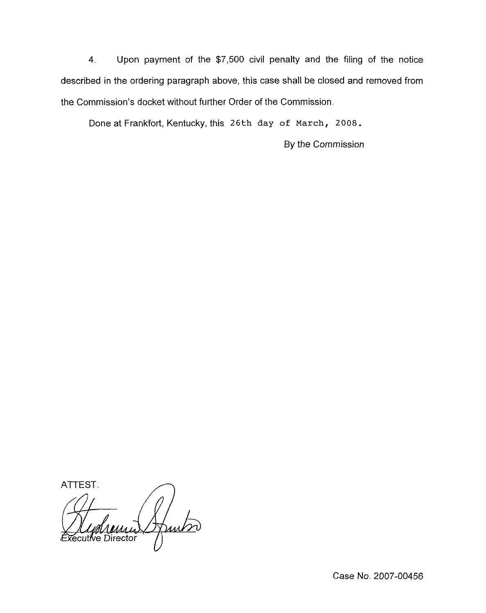4. Upon payment of the \$7,500 civil penalty and the filing of the notice described in the ordering paragraph above, this case shall be closed and removed from the Commission's docket without further Order of the Commission.

Done at Frankfort, Kentucky, this 26th day of march, 2008.

By the Commission

ATTEST. Hunter ecutive Director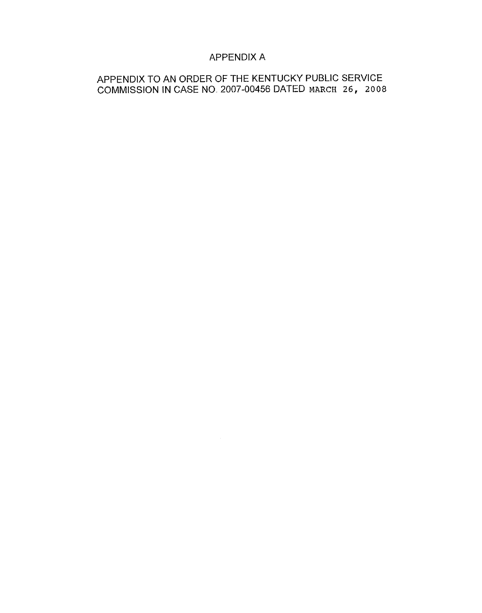## APPENDIX A

# APPENDIX TO AN ORDER OF THE KENTUCKY PUBLIC SERVICE COMMISSION IN CASE NO. 2007-00456 DATED MARCH 26, 2008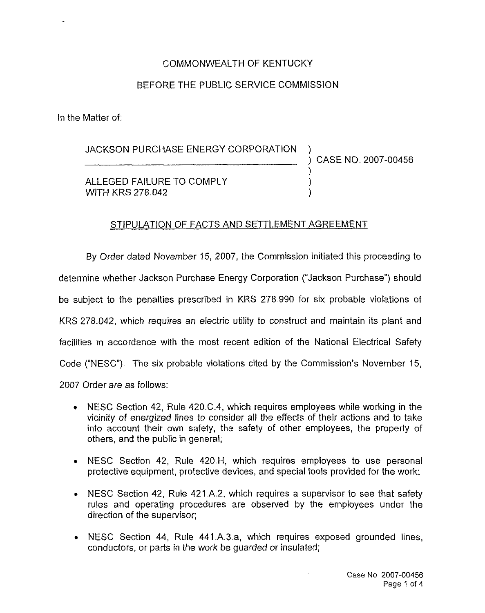# COMMONWEALTH OF KENTUCKY BEFORE THE PUBLIC SERVICE COMMISSION

In the Matter of:

JACKSON PURCHASE ENERGY CORPORATION

) CASE NO 2007-00456

 $\left\langle \right\rangle$ 

ALLEGED FAILURE TO COMPLY WITH KRS 278.042

### STIPULATION OF FACTS AND SETTLEMENT AGREEMENT

By Order dated November 15, 2007, the Commission initiated this proceeding to determine whether Jackson Purchase Energy Corporation ("Jackson Purchase") shoul be subject to the penalties prescribed in KRS 278.990 for six probable violations of KRS 278.042, which requires an electric utility to construct and maintain its plant and facilities in accordance with the most recent edition of the National Electrical Safety Code ("NESC"). The six probable violations cited by the Commission's November 15, 2007 Order are as follows:

- <sup>~</sup> NESC Section 42, Rule 420.C.4, which requires employees while working in the vicinity of energized lines to consider all the effects of their actions and to take into account their own safety, the safety of other employees, the property of others, and the public in general;
- <sup>~</sup> NESC Section 42, Rule 420.H, which requires employees to use personal protective equipment, protective devices, and special tools provided for the work;
- <sup>~</sup> NESC Section 42, Rule 421.A.2, which requires a supervisor to see that safety rules and operating procedures are observed by the employees under the direction of the supervisor;
- <sup>~</sup> NESC Section 44, Rule 441.A.3.a, which requires exposed grounded lines, conductors, or parts in the work be guarded or insulated;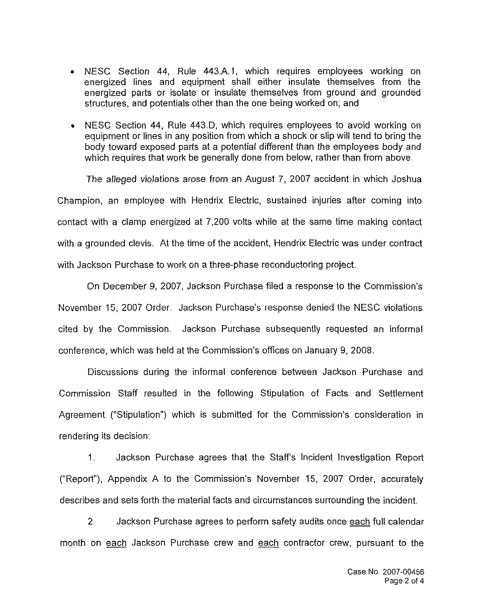- <sup>~</sup> MESC Section 44, Rule 443.A. I, which requires employees working on energized lines and equipment shall either insulate themselves from the energized parts or isolate or insulate themselves from ground and grounded structures, and potentials other than the one being worked on; and
- <sup>~</sup> NESC Section 44, Rule 443.D, which requires employees to avoid working on equipment or lines in any position from which a shock or slip will tend to bring the body toward exposed parts at a potential different than the employees body and which requires that work be generally done from below, rather than from above.

The alleged violations arose from an August 7, 2007 accident in which Joshua Champion, an employee with Hendrix Electric, sustained injuries after coming into contact with a clamp energized at 7,200 volts while at the same time making contact with a grounded clevis. At the time of the accident, Hendrix Electric was under contract with Jackson Purchase to work on a three-phase reconductoring project,

On December 9, 2007, Jackson Purchase filed a response to the Commission's November 15, 2007 Order. Jackson Purchase's response denied the NESC violations cited by the Commission, Jackson Purchase subsequently requested an informal conference, which was held at the Commission's offices on January 9, 2008.

Discussions during the informal conference between Jackson Purchase and Commission Staff resulted in the following Stipulation of Facts and Settlement Agreement ("Stipulation") which is submitted for the Commission's consideration in rendering its decision:

1. Jackson Purchase agrees that the Staffs Incident Investigation Report ("Report"), Appendix A to the Commission's November 15, 2007 Order, accurately describes and sets forth the material facts and circumstances surrounding the incident.

2. Jackson Purchase agrees to perform safety audits once each full calendar month on each Jackson Purchase crew and each contractor crew, pursuant to the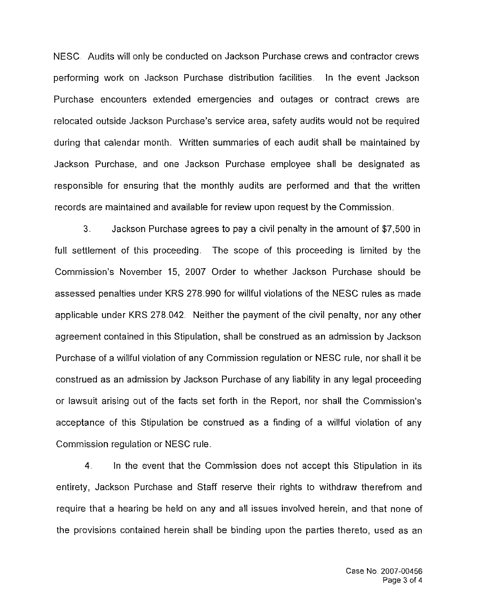NESC Audits will only be conducted on Jackson Purchase crews and contractor crews performing work on Jackson Purchase distribution facilities. In the event Jackson Purchase encounters extended emergencies and outages or contract crews are relocated outside Jackson Purchase's service area, safety audits would not be required during that calendar month. Written summaries of each audit shall be maintained by Jackson Purchase, and one Jackson Purchase employee shall be designated as responsible for ensuring that the monthly audits are performed and that the written records are maintained and available for review upon request by the Commission.

3. Jackson Purchase agrees to pay a civil penalty in the amount of \$7,500 in full settlement of this proceeding. The scope of this proceeding is limited by the Commission's November 15, 2007 Order to whether Jackson Purchase should be assessed penalties under KRS 278.990 for willful violations of the NESC rules as made applicable under KRS 278.042. Neither the payment of the civil penalty, nor any other agreement contained in this Stipulation, shall be construed as an admission by Jackson Purchase of a willful violation of any Commission regulation or NESC rule, nor shall it be construed as an admission by Jackson Purchase of any liability in any legal proceeding or lawsuit arising out of the facts set forth in the Report, nor shall the Commission's acceptance of this Stipulation be construed as a finding of a willful violation of any Commission regulation or NESC rule.

4 In the event that the Commission does not accept this Stipulation in its entirety, Jackson Purchase and Staff reserve their rights to withdraw therefrom and require that a hearing be held on any and all issues involved herein, and that none of the provisions contained herein shall be binding upon the parties thereto, used as an